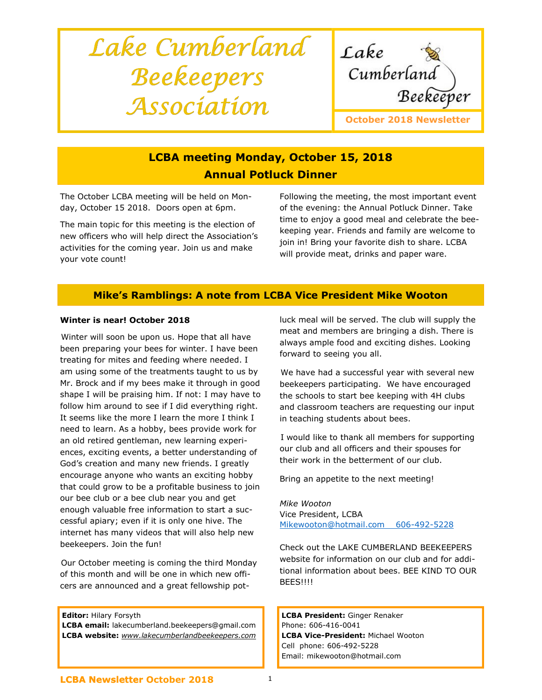# Lake Cumberland Beekeepers Association



## LCBA meeting Monday, October 15, 2018 Annual Potluck Dinner

The October LCBA meeting will be held on Monday, October 15 2018. Doors open at 6pm.

The main topic for this meeting is the election of new officers who will help direct the Association's activities for the coming year. Join us and make your vote count!

Following the meeting, the most important event of the evening: the Annual Potluck Dinner. Take time to enjoy a good meal and celebrate the beekeeping year. Friends and family are welcome to join in! Bring your favorite dish to share. LCBA will provide meat, drinks and paper ware.

## Mike's Ramblings: A note from LCBA Vice President Mike Wooton

## Winter is near! October 2018

 Winter will soon be upon us. Hope that all have been preparing your bees for winter. I have been treating for mites and feeding where needed. I am using some of the treatments taught to us by Mr. Brock and if my bees make it through in good shape I will be praising him. If not: I may have to follow him around to see if I did everything right. It seems like the more I learn the more I think I need to learn. As a hobby, bees provide work for an old retired gentleman, new learning experiences, exciting events, a better understanding of God's creation and many new friends. I greatly encourage anyone who wants an exciting hobby that could grow to be a profitable business to join our bee club or a bee club near you and get enough valuable free information to start a successful apiary; even if it is only one hive. The internet has many videos that will also help new beekeepers. Join the fun!

 Our October meeting is coming the third Monday of this month and will be one in which new officers are announced and a great fellowship pot-

Editor: Hilary Forsyth

LCBA email: lakecumberland.beekeepers@gmail.com LCBA website: www.lakecumberlandbeekeepers.com luck meal will be served. The club will supply the meat and members are bringing a dish. There is always ample food and exciting dishes. Looking forward to seeing you all.

 We have had a successful year with several new beekeepers participating. We have encouraged the schools to start bee keeping with 4H clubs and classroom teachers are requesting our input in teaching students about bees.

 I would like to thank all members for supporting our club and all officers and their spouses for their work in the betterment of our club.

Bring an appetite to the next meeting!

Mike Wooton Vice President, LCBA Mikewooton@hotmail.com 606-492-5228

Check out the LAKE CUMBERLAND BEEKEEPERS website for information on our club and for additional information about bees. BEE KIND TO OUR BEES!!!!

LCBA President: Ginger Renaker Phone: 606-416-0041 LCBA Vice-President: Michael Wooton Cell phone: 606-492-5228 Email: mikewooton@hotmail.com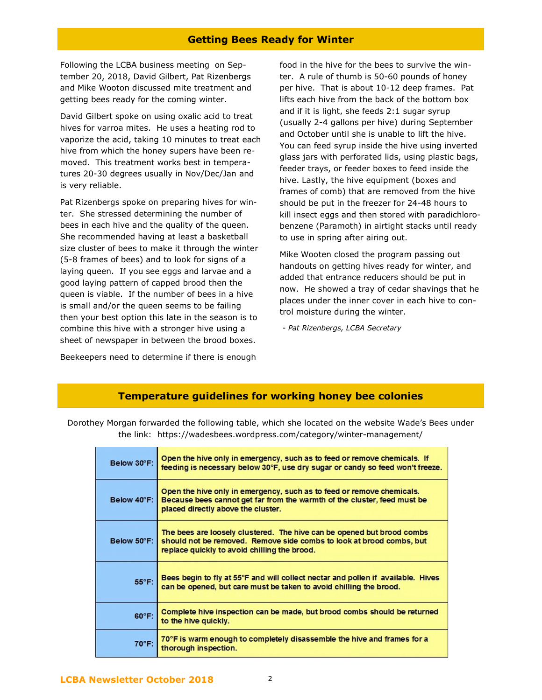## Getting Bees Ready for Winter

Following the LCBA business meeting on September 20, 2018, David Gilbert, Pat Rizenbergs and Mike Wooton discussed mite treatment and getting bees ready for the coming winter.

David Gilbert spoke on using oxalic acid to treat hives for varroa mites. He uses a heating rod to vaporize the acid, taking 10 minutes to treat each hive from which the honey supers have been removed. This treatment works best in temperatures 20-30 degrees usually in Nov/Dec/Jan and is very reliable.

Pat Rizenbergs spoke on preparing hives for winter. She stressed determining the number of bees in each hive and the quality of the queen. She recommended having at least a basketball size cluster of bees to make it through the winter (5-8 frames of bees) and to look for signs of a laying queen. If you see eggs and larvae and a good laying pattern of capped brood then the queen is viable. If the number of bees in a hive is small and/or the queen seems to be failing then your best option this late in the season is to combine this hive with a stronger hive using a sheet of newspaper in between the brood boxes.

Beekeepers need to determine if there is enough

food in the hive for the bees to survive the winter. A rule of thumb is 50-60 pounds of honey per hive. That is about 10-12 deep frames. Pat lifts each hive from the back of the bottom box and if it is light, she feeds 2:1 sugar syrup (usually 2-4 gallons per hive) during September and October until she is unable to lift the hive. You can feed syrup inside the hive using inverted glass jars with perforated lids, using plastic bags, feeder trays, or feeder boxes to feed inside the hive. Lastly, the hive equipment (boxes and frames of comb) that are removed from the hive should be put in the freezer for 24-48 hours to kill insect eggs and then stored with paradichlorobenzene (Paramoth) in airtight stacks until ready to use in spring after airing out.

Mike Wooten closed the program passing out handouts on getting hives ready for winter, and added that entrance reducers should be put in now. He showed a tray of cedar shavings that he places under the inner cover in each hive to control moisture during the winter.

- Pat Rizenbergs, LCBA Secretary

## Temperature guidelines for working honey bee colonies

Dorothey Morgan forwarded the following table, which she located on the website Wade's Bees under the link: https://wadesbees.wordpress.com/category/winter-management/

| Below 30°F:     | Open the hive only in emergency, such as to feed or remove chemicals. If<br>feeding is necessary below 30°F, use dry sugar or candy so feed won't freeze.                                      |
|-----------------|------------------------------------------------------------------------------------------------------------------------------------------------------------------------------------------------|
| Below 40°F:     | Open the hive only in emergency, such as to feed or remove chemicals.<br>Because bees cannot get far from the warmth of the cluster, feed must be<br>placed directly above the cluster.        |
| Below 50°F:     | The bees are loosely clustered. The hive can be opened but brood combs<br>should not be removed. Remove side combs to look at brood combs, but<br>replace quickly to avoid chilling the brood. |
| $55^{\circ}$ F: | Bees begin to fly at 55°F and will collect nectar and pollen if available. Hives<br>can be opened, but care must be taken to avoid chilling the brood.                                         |
| 60°F:           | Complete hive inspection can be made, but brood combs should be returned<br>to the hive quickly.                                                                                               |
| 70°F:           | 70°F is warm enough to completely disassemble the hive and frames for a<br>thorough inspection.                                                                                                |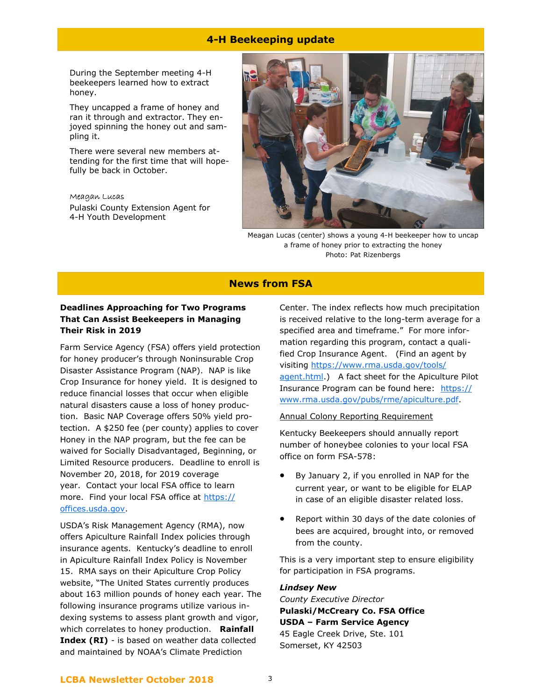## 4-H Beekeeping update

During the September meeting 4-H beekeepers learned how to extract honey.

They uncapped a frame of honey and ran it through and extractor. They enjoyed spinning the honey out and sampling it.

There were several new members attending for the first time that will hopefully be back in October.

#### Meagan Lucas

Pulaski County Extension Agent for 4-H Youth Development



Meagan Lucas (center) shows a young 4-H beekeeper how to uncap a frame of honey prior to extracting the honey Photo: Pat Rizenbergs

## News from FSA

## Deadlines Approaching for Two Programs That Can Assist Beekeepers in Managing Their Risk in 2019

Farm Service Agency (FSA) offers yield protection for honey producer's through Noninsurable Crop Disaster Assistance Program (NAP). NAP is like Crop Insurance for honey yield. It is designed to reduce financial losses that occur when eligible natural disasters cause a loss of honey production. Basic NAP Coverage offers 50% yield protection. A \$250 fee (per county) applies to cover Honey in the NAP program, but the fee can be waived for Socially Disadvantaged, Beginning, or Limited Resource producers. Deadline to enroll is November 20, 2018, for 2019 coverage year. Contact your local FSA office to learn more. Find your local FSA office at https:// offices.usda.gov.

USDA's Risk Management Agency (RMA), now offers Apiculture Rainfall Index policies through insurance agents. Kentucky's deadline to enroll in Apiculture Rainfall Index Policy is November 15. RMA says on their Apiculture Crop Policy website, "The United States currently produces about 163 million pounds of honey each year. The following insurance programs utilize various indexing systems to assess plant growth and vigor, which correlates to honey production. Rainfall Index (RI) - is based on weather data collected and maintained by NOAA's Climate Prediction

Center. The index reflects how much precipitation is received relative to the long-term average for a specified area and timeframe." For more information regarding this program, contact a qualified Crop Insurance Agent. (Find an agent by visiting https://www.rma.usda.gov/tools/ agent.html.) A fact sheet for the Apiculture Pilot Insurance Program can be found here: https:// www.rma.usda.gov/pubs/rme/apiculture.pdf.

#### Annual Colony Reporting Requirement

Kentucky Beekeepers should annually report number of honeybee colonies to your local FSA office on form FSA-578:

- By January 2, if you enrolled in NAP for the current year, or want to be eligible for ELAP in case of an eligible disaster related loss.
- Report within 30 days of the date colonies of bees are acquired, brought into, or removed from the county.

This is a very important step to ensure eligibility for participation in FSA programs.

### Lindsey New

County Executive Director Pulaski/McCreary Co. FSA Office USDA – Farm Service Agency 45 Eagle Creek Drive, Ste. 101 Somerset, KY 42503